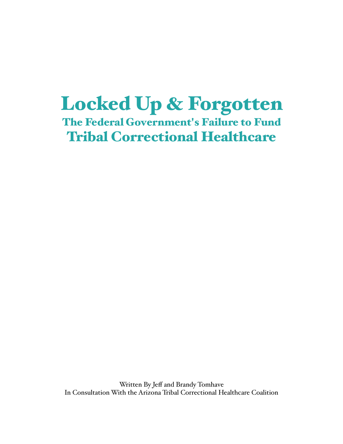# Locked Up & Forgotten

The Federal Government's Failure to Fund Tribal Correctional Healthcare

Written By Jeff and Brandy Tomhave In Consultation With the Arizona Tribal Correctional Healthcare Coalition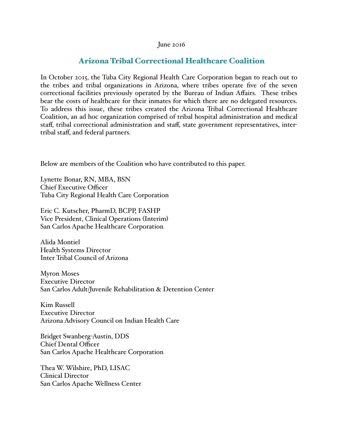#### June 2016

# Arizona Tribal Correctional Healthcare Coalition

In October 2015, the Tuba City Regional Health Care Corporation began to reach out to the tribes and tribal organizations in Arizona, where tribes operate five of the seven correctional facilities previously operated by the Bureau of Indian Affairs. These tribes bear the costs of healthcare for their inmates for which there are no delegated resources. To address this issue, these tribes created the Arizona Tribal Correctional Healthcare Coalition, an ad hoc organization comprised of tribal hospital administration and medical staff, tribal correctional administration and staff, state government representatives, intertribal staff, and federal partners.

Below are members of the Coalition who have contributed to this paper.

Lynette Bonar, RN, MBA, BSN Chief Executive Officer Tuba City Regional Health Care Corporation

Eric C. Kutscher, PharmD, BCPP, FASHP Vice President, Clinical Operations (Interim) San Carlos Apache Healthcare Corporation

Alida Montiel Health Systems Director Inter Tribal Council of Arizona

Myron Moses Executive Director San Carlos Adult/Juvenile Rehabilitation & Detention Center

Kim Russell Executive Director Arizona Advisory Council on Indian Health Care

Bridget Swanberg-Austin, DDS Chief Dental Officer San Carlos Apache Healthcare Corporation

Thea W. Wilshire, PhD, LISAC Clinical Director San Carlos Apache Wellness Center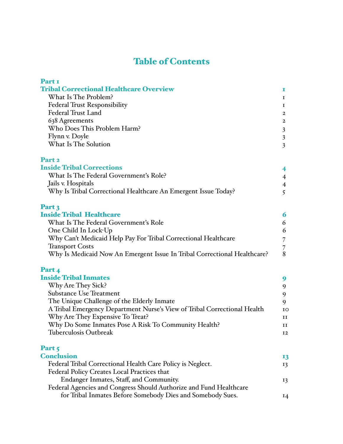# Table of Contents

| Part I                                                                   |                         |  |
|--------------------------------------------------------------------------|-------------------------|--|
| <b>Tribal Correctional Healthcare Overview</b>                           | I.                      |  |
| What Is The Problem?                                                     |                         |  |
| <b>Federal Trust Responsibility</b>                                      | Ι.                      |  |
| <b>Federal Trust Land</b>                                                | $\mathbf{2}$            |  |
| 638 Agreements                                                           | 2                       |  |
| Who Does This Problem Harm?                                              | $\mathfrak{Z}$          |  |
| Flynn v. Doyle                                                           | $\mathfrak{Z}$          |  |
| What Is The Solution                                                     | $\overline{\mathbf{3}}$ |  |
| Part <sub>2</sub>                                                        |                         |  |
| <b>Inside Tribal Corrections</b>                                         | 4                       |  |
| What Is The Federal Government's Role?                                   | $\overline{4}$          |  |
| Jails v. Hospitals                                                       | $\overline{4}$          |  |
| Why Is Tribal Correctional Healthcare An Emergent Issue Today?           | 5                       |  |
| Part 3                                                                   |                         |  |
| <b>Inside Tribal Healthcare</b>                                          | 6                       |  |
| What Is The Federal Government's Role                                    | 6                       |  |
| One Child In Lock-Up                                                     | 6                       |  |
| Why Can't Medicaid Help Pay For Tribal Correctional Healthcare           | 7                       |  |
| <b>Transport Costs</b>                                                   | 7                       |  |
| Why Is Medicaid Now An Emergent Issue In Tribal Correctional Healthcare? | 8                       |  |
| Part 4                                                                   |                         |  |
| <b>Inside Tribal Inmates</b>                                             | 9                       |  |
| Why Are They Sick?                                                       | 9                       |  |
| <b>Substance Use Treatment</b>                                           | 9                       |  |
| The Unique Challenge of the Elderly Inmate                               | 9                       |  |
| A Tribal Emergency Department Nurse's View of Tribal Correctional Health | ΙO                      |  |
| Why Are They Expensive To Treat?                                         | и                       |  |
| Why Do Some Inmates Pose A Risk To Community Health?                     | и                       |  |
| <b>Tuberculosis Outbreak</b>                                             | 12                      |  |
| Part 5                                                                   |                         |  |
| <b>Conclusion</b>                                                        | 13                      |  |
| Federal Tribal Correctional Health Care Policy is Neglect.               | 13                      |  |
| Federal Policy Creates Local Practices that                              |                         |  |
| Endanger Inmates, Staff, and Community.                                  | 13                      |  |

Federal Agencies and Congress Should Authorize and Fund Healthcare for Tribal Inmates Before Somebody Dies and Somebody Sues. 14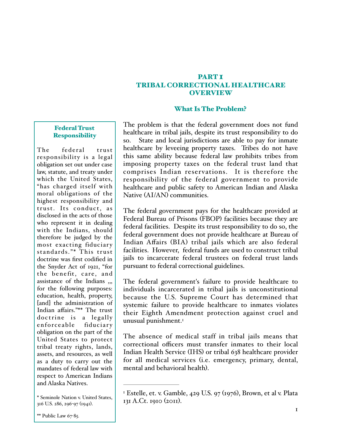#### PART I TRIBAL CORRECTIONAL HEALTHCARE OVERVIEW

#### What Is The Problem?

#### Federal Trust **Responsibility**

The federal trust responsibility is a legal obligation set out under case law, statute, and treaty under which the United States, "has charged itself with moral obligations of the highest responsibility and trust. Its conduct, as disclosed in the acts of those who represent it in dealing with the Indians, should therefore be judged by the most exacting fiduciary standards."\* This trust doctrine was first codified in the Snyder Act of 1921, "for the benefit, care, and assistance of the Indians ,,, for the following purposes: education, health, property, [and] the administration of Indian affairs."\*\* The trust doctrine is a legally enforceable fiduciary obligation on the part of the United States to protect tribal treaty rights, lands, assets, and resources, as well as a duty to carry out the mandates of federal law with respect to American Indians and Alaska Natives.

The problem is that the federal government does not fund healthcare in tribal jails, despite its trust responsibility to do so. State and local jurisdictions are able to pay for inmate healthcare by leveeing property taxes. Tribes do not have this same ability because federal law prohibits tribes from imposing property taxes on the federal trust land that comprises Indian reservations. It is therefore the responsibility of the federal government to provide healthcare and public safety to American Indian and Alaska Native (AI/AN) communities.

The federal government pays for the healthcare provided at Federal Bureau of Prisons (FBOP) facilities because they are federal facilities. Despite its trust responsibility to do so, the federal government does not provide healthcare at Bureau of Indian Affairs (BIA) tribal jails which are also federal facilities. However, federal funds are used to construct tribal jails to incarcerate federal trustees on federal trust lands pursuant to federal correctional guidelines.

The federal government's failure to provide healthcare to individuals incarcerated in tribal jails is unconstitutional because the U.S. Supreme Court has determined that systemic failure to provide healthcare to inmates violates their Eighth Amendment protection against cruel and unusual punishment.1

The absence of medical staff in tribal jails means that correctional officers must transfer inmates to their local Indian Health Service (IHS) or tribal 638 healthcare provider for all medical services (i.e. emergency, primary, dental, mental and behavioral health).

<sup>\*</sup> Seminole Nation v. United States, 316 U.S. 286, 296-97 (1941).

 $\text{F}$  Estelle, et. v. Gamble, 429 U.S. 97 (1976), Brown, et al v. Plata 131 A.Ct. 1910 (2011).

 $*$  Public Law 67-85.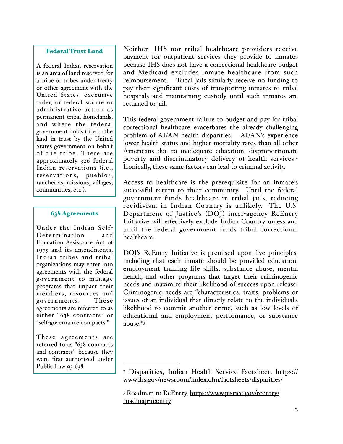#### Federal Trust Land

A federal Indian reservation is an area of land reserved for a tribe or tribes under treaty or other agreement with the United States, executive order, or federal statute or administrative action as permanent tribal homelands, and where the federal government holds title to the land in trust by the United States government on behalf of the tribe. There are approximately 326 federal Indian reservations (i.e., reservations, pueblos, rancherias, missions, villages, communities, etc.).

#### 638 Agreements

Under the Indian Self-Determination and Education Assistance Act of 1975 and its amendments, Indian tribes and tribal organizations may enter into agreements with the federal go ver nment to mana ge programs that impact their members, resources and governments. These agreements are referred to as either "638 contracts" or "self-governance compacts."

These agreements are referred to as "638 compacts and contracts" because they were first authorized under Public Law 93-638.

Neither IHS nor tribal healthcare providers receive payment for outpatient services they provide to inmates because IHS does not have a correctional healthcare budget and Medicaid excludes inmate healthcare from such reimbursement. Tribal jails similarly receive no funding to pay their significant costs of transporting inmates to tribal hospitals and maintaining custody until such inmates are returned to jail.

This federal government failure to budget and pay for tribal correctional healthcare exacerbates the already challenging problem of AI/AN health disparities. AI/AN's experience lower health status and higher mortality rates than all other Americans due to inadequate education, disproportionate poverty and discriminatory delivery of health services.<sup>2</sup> Ironically, these same factors can lead to criminal activity.

Access to healthcare is the prerequisite for an inmate's successful return to their community. Until the federal government funds healthcare in tribal jails, reducing recidivism in Indian Country is unlikely. The U.S. Department of Justice's (DOJ) inter-agency ReEntry Initiative will effectively exclude Indian Country unless and until the federal government funds tribal correctional healthcare.

DOJ's ReEntry Initiative is premised upon five principles, including that each inmate should be provided education, employment training life skills, substance abuse, mental health, and other programs that target their criminogenic needs and maximize their likelihood of success upon release. Criminogenic needs are "characteristics, traits, problems or issues of an individual that directly relate to the individual's likelihood to commit another crime, such as low levels of educational and employment performance, or substance abuse."3

Disparities, Indian Health Service Factsheet. https:// <sup>2</sup> www.ihs.gov/newsroom/index.cfm/factsheets/disparities/

<sup>&</sup>lt;sup>3</sup> Roadmap to ReEntry, https://www.justice.gov/reentry/ roadmap-reentry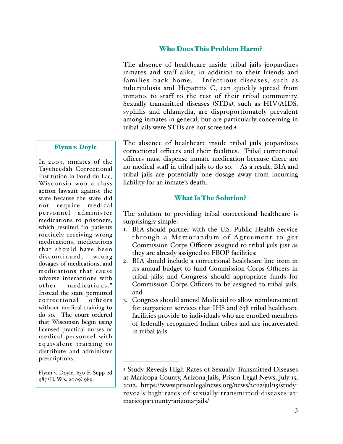#### Who Does This Problem Harm?

The absence of healthcare inside tribal jails jeopardizes inmates and staff alike, in addition to their friends and families back home. Infectious diseases, such as tuberculosis and Hepatitis C, can quickly spread from inmates to staff to the rest of their tribal community. Sexually transmitted diseases (STDs), such as HIV/AIDS, syphilis and chlamydia, are disproportionately prevalent among inmates in general, but are particularly concerning in tribal jails were STDs are not screened.4

#### Flynn v. Doyle

In 2009, inmates of the Taycheedah Correctional Institution in Fond du Lac, Wisconsin won a class action lawsuit against the state because the state did not require medical personnel administer medications to prisoners, which resulted "in patients routinely receiving wrong medications, medications that should ha ve been discontinued, wrong dosages of medications, and medications that cause adverse interactions with other medications." Instead the state permitted correctional officers without medical training to do so. The court ordered that Wisconsin begin using licensed practical nurses or medical personnel with equivalent training to distribute and administer prescriptions.

Flynn v. Doyle, 630 F. Supp 2d 987 (D. Wis. 2009) 989.

The absence of healthcare inside tribal jails jeopardizes correctional officers and their facilities. Tribal correctional officers must dispense inmate medication because there are no medical staff in tribal jails to do so. As a result, BIA and tribal jails are potentially one dosage away from incurring liability for an inmate's death.

#### What Is The Solution?

The solution to providing tribal correctional healthcare is surprisingly simple:

- 1. BIA should partner with the U.S. Public Health Service through a Memorandum of Agreement to get Commission Corps Officers assigned to tribal jails just as they are already assigned to FBOP facilities;
- 2. BIA should include a correctional healthcare line item in its annual budget to fund Commission Corps Officers in tribal jails; and Congress should appropriate funds for Commission Corps Officers to be assigned to tribal jails; and
- 3. Congress should amend Medicaid to allow reimbursement for outpatient services that IHS and 638 tribal healthcare facilities provide to individuals who are enrolled members of federally recognized Indian tribes and are incarcerated in tribal jails.

Study Reveals High Rates of Sexually Transmitted Diseases 4 at Maricopa County, Arizona Jails, Prison Legal News, July 15, 2012. https://www.prisonlegalnews.org/news/2012/jul/15/studyreveals-high-rates-of-sexually-transmitted-diseases-atmaricopa-county-arizona-jails/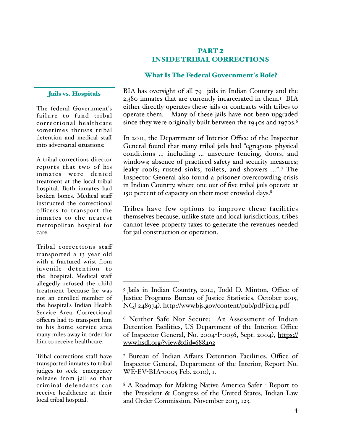# PART<sub>2</sub> INSIDE TRIBAL CORRECTIONS

# What Is The Federal Government's Role?

#### Jails vs. Hospitals

The federal Government's failure to fund tribal correctional healthcare sometimes thrusts tribal detention and medical staff into adversarial situations:

A tribal corrections director reports that two of his inmates were denied treatment at the local tribal hospital. Both inmates had broken bones. Medical staff instructed the correctional officers to transport the inmates to the nearest metropolitan hospital for care.

Tribal corrections staff transported a 13 year old with a fractured wrist from juvenile detention to the hospital. Medical staff allegedly refused the child treatment because he was not an enrolled member of the hospital's Indian Health Service Area. Correctional officers had to transport him to his home service area many miles away in order for him to receive healthcare.

Tribal corrections staff have transported inmates to tribal judges to seek emergency release from jail so that criminal defendants can receive healthcare at their local tribal hospital.

BIA has oversight of all 79 jails in Indian Country and the 2,380 inmates that are currently incarcerated in them.<sup>5</sup> BIA either directly operates these jails or contracts with tribes to operate them. Many of these jails have not been upgraded since they were originally built between the 1940s and 1970s.<sup>6</sup>

In 2011, the Department of Interior Office of the Inspector General found that many tribal jails had "egregious physical conditions … including … unsecure fencing, doors, and windows; absence of practiced safety and security measures; leaky roofs; rusted sinks, toilets, and showers ...".7 The Inspector General also found a prisoner overcrowding crisis in Indian Country, where one out of five tribal jails operate at 150 percent of capacity on their most crowded days.8

Tribes have few options to improve these facilities themselves because, unlike state and local jurisdictions, tribes cannot levee property taxes to generate the revenues needed for jail construction or operation.

Bureau of Indian Affairs Detention Facilities, Office of 7 Inspector General, Department of the Interior, Report No. WE-EV-BIA-0005 Feb. 2010), 1.

<sup>8</sup> A Roadmap for Making Native America Safer - Report to the President & Congress of the United States, Indian Law and Order Commission, November 2013, 123.

<sup>&</sup>lt;sup>5</sup> Jails in Indian Country, 2014, Todd D. Minton, Office of Justice Programs Bureau of Justice Statistics, October 2015, NCJ 248974). http://www.bjs.gov/content/pub/pdf/jic14.pdf

<sup>&</sup>lt;sup>6</sup> Neither Safe Nor Secure: An Assessment of Indian Detention Facilities, US Department of the Interior, Office of Inspector General, No. 2004-I-0056, Sept. 2004), https:// www.hsdl.org/?view&did=688492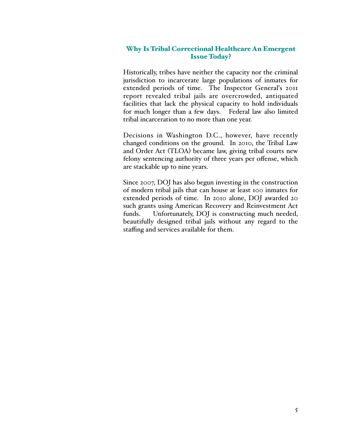# Why Is Tribal Correctional Healthcare An Emergent Issue Today?

Historically, tribes have neither the capacity nor the criminal jurisdiction to incarcerate large populations of inmates for extended periods of time. The Inspector General's 2011 report revealed tribal jails are overcrowded, antiquated facilities that lack the physical capacity to hold individuals for much longer than a few days. Federal law also limited tribal incarceration to no more than one year.

Decisions in Washington D.C., however, have recently changed conditions on the ground. In 2010, the Tribal Law and Order Act (TLOA) became law, giving tribal courts new felony sentencing authority of three years per offense, which are stackable up to nine years.

Since 2007, DOJ has also begun investing in the construction of modern tribal jails that can house at least 100 inmates for extended periods of time. In 2010 alone, DOJ awarded 20 such grants using American Recovery and Reinvestment Act funds. Unfortunately, DOJ is constructing much needed, beautifully designed tribal jails without any regard to the staffing and services available for them.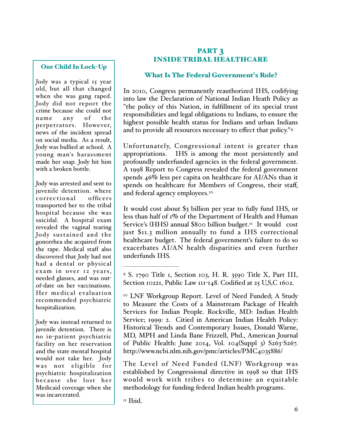# One Child In Lock-Up

Jody was a typical 15 year old, but all that changed when she was gang raped. Jody did not report the crime because she could not name any of the perpetrators. However, news of the incident spread on social media. As a result, Jody was bullied at school. A young man's harassment made her snap. Jody hit him with a broken bottle.

Jody was arrested and sent to juvenile detention. where correctional officers transported her to the tribal hospital because she was suicidal. A hospital exam revealed the vaginal tearing Jody sustained and the gonorrhea she acquired from the rape. Medical staff also discovered that Jody had not had a dental or physical exam in over 12 years, needed glasses, and was outof-date on her vaccinations. Her medical evaluation recommended psychiatric hospitalization.

Jody was instead returned to juvenile detention. There is no in-patient psychiatric facility on her reservation and the state mental hospital would not take her. Jody was not eligible for psychiatric hospitalization because she lost her Medicaid coverage when she was incarcerated.

# PART 3 INSIDE TRIBAL HEALTHCARE

#### What Is The Federal Government's Role?

In 2010, Congress permanently reauthorized IHS, codifying into law the Declaration of National Indian Heath Policy as "the policy of this Nation, in fulfillment of its special trust responsibilities and legal obligations to Indians, to ensure the highest possible health status for Indians and urban Indians and to provide all resources necessary to effect that policy."9

Unfortunately, Congressional intent is greater than appropriations. IHS is among the most persistently and profoundly underfunded agencies in the federal government. A 1998 Report to Congress revealed the federal government spends 46% less per capita on healthcare for AI/ANs than it spends on healthcare for Members of Congress, their staff, and federal agency employees.<sup>10</sup>

It would cost about \$3 billion per year to fully fund IHS, or less than half of 1% of the Department of Health and Human Service's (HHS) annual \$800 billion budget.<sup>11</sup> It would cost just \$11.3 million annually to fund a IHS correctional healthcare budget. The federal government's failure to do so exacerbates AI/AN health disparities and even further underfunds IHS.

<sup>10</sup> LNF Workgroup Report. Level of Need Funded; A Study to Measure the Costs of a Mainstream Package of Health Services for Indian People. Rockville, MD: Indian Health Service; 1999: 2. Citied in American Indian Health Policy: Historical Trends and Contemporary Issues, Donald Warne, MD, MPH and Linda Bane Frizzell, Phd., American Journal of Public Health: June 2014, Vol. 104(Suppl 3) S263-S267. http://www.ncbi.nlm.nih.gov/pmc/articles/PMC4035886/

The Level of Need Funded (LNF) Workgroup was established by Congressional directive in 1998 so that IHS would work with tribes to determine an equitable methodology for funding federal Indian health programs.

S. 1790 Title 1, Section 103, H. R. 3590 Title X, Part III, 9 Section 10221, Public Law 111-148. Codified at 25 U,S,C 1602.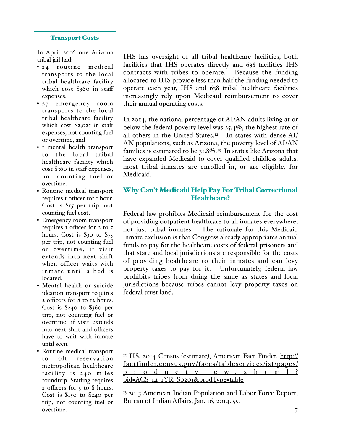#### Transport Costs

In April 2016 one Arizona tribal jail had:

- 24 routine medical transports to the local tribal healthcare facility which cost \$360 in staff expenses.
- 27 emergency room transports to the local tribal healthcare facility which cost  $\S_{2,025}$  in staff expenses, not counting fuel or overtime, and
- 1 mental health transport to the local tribal healthcare facility which cost \$360 in staff expenses, not counting fuel or overtime.
- Routine medical transport requires 1 officer for 1 hour. Cost is \$15 per trip, not counting fuel cost.
- Emergency room transport requires 1 officer for 2 to 5 hours. Cost is  $\$30$  to  $\$75$ per trip, not counting fuel or overtime, if visit extends into next shift when officer waits with inmate until a bed is located.
- Mental health or suicide ideation transport requires 2 officers for 8 to 12 hours. Cost is \$240 to \$360 per trip, not counting fuel or overtime, if visit extends into next shift and officers have to wait with inmate until seen.
- Routine medical transport to off reser vation metropolitan healthcare facility is 240 miles roundtrip. Staffing requires 2 officers for 5 to 8 hours. Cost is \$150 to \$240 per trip, not counting fuel or overtime.

IHS has oversight of all tribal healthcare facilities, both facilities that IHS operates directly and 638 facilities IHS contracts with tribes to operate. Because the funding allocated to IHS provide less than half the funding needed to operate each year, IHS and 638 tribal healthcare facilities increasingly rely upon Medicaid reimbursement to cover their annual operating costs.

In 2014, the national percentage of AI/AN adults living at or below the federal poverty level was 25.4%, the highest rate of all others in the United States.<sup>12</sup> In states with dense AI/ AN populations, such as Arizona, the poverty level of AI/AN families is estimated to be  $31.8\%$ .<sup>13</sup> In states like Arizona that have expanded Medicaid to cover qualified childless adults, most tribal inmates are enrolled in, or are eligible, for Medicaid.

# Why Can't Medicaid Help Pay For Tribal Correctional Healthcare?

Federal law prohibits Medicaid reimbursement for the cost of providing outpatient healthcare to all inmates everywhere, not just tribal inmates. The rationale for this Medicaid inmate exclusion is that Congress already appropriates annual funds to pay for the healthcare costs of federal prisoners and that state and local jurisdictions are responsible for the costs of providing healthcare to their inmates and can levy property taxes to pay for it. Unfortunately, federal law prohibits tribes from doing the same as states and local jurisdictions because tribes cannot levy property taxes on federal trust land.

<sup>&</sup>lt;sup>12</sup> U.S. 2014 Census (estimate), American Fact Finder. http:// factfinder.census.gov/faces/tableservices/jsf/pages/ p r o d u c t v i e w. x h t m l ? pid=ACS\_14\_1YR\_S0201&prodType=table

<sup>&</sup>lt;sup>13</sup> 2013 American Indian Population and Labor Force Report, Bureau of Indian Affairs, Jan. 16, 2014. 55.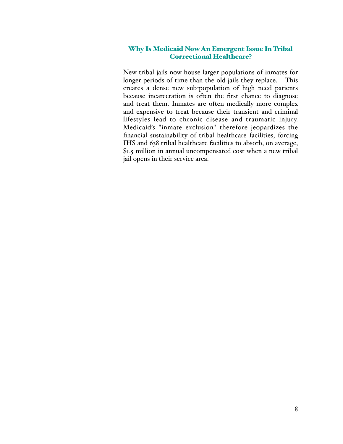#### Why Is Medicaid Now An Emergent Issue In Tribal Correctional Healthcare?

New tribal jails now house larger populations of inmates for longer periods of time than the old jails they replace. This creates a dense new sub-population of high need patients because incarceration is often the first chance to diagnose and treat them. Inmates are often medically more complex and expensive to treat because their transient and criminal lifestyles lead to chronic disease and traumatic injury. Medicaid's "inmate exclusion" therefore jeopardizes the financial sustainability of tribal healthcare facilities, forcing IHS and 638 tribal healthcare facilities to absorb, on average, \$1.5 million in annual uncompensated cost when a new tribal jail opens in their service area.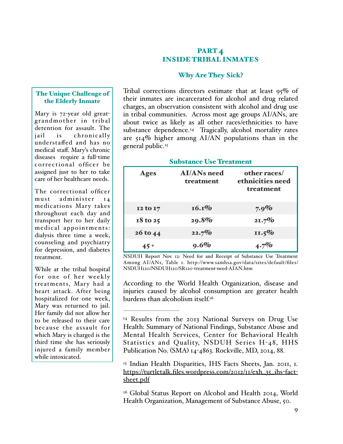# PART<sub>4</sub> INSIDE TRIBAL INMATES

# Why Are They Sick?

#### The Unique Challenge of the Elderly Inmate

Mary is 72-year old greatgrandmother in tribal detention for assault. The jail is chronically understaffed and has no medical staff. Mary's chronic diseases require a full-time correctional officer be assigned just to her to take care of her healthcare needs.

The correctional officer must administer 14 medications Mary takes throughout each day and transport her to her daily medical appointments: dialysis three time a week, counseling and psychiatry for depression, and diabetes treatment.

While at the tribal hospital for one of her weekly treatments, Mary had a heart attack. After being hospitalized for one week, Mary was returned to jail. Her family did not allow her to be released to their care because the assault for which Mary is charged is the third time she has seriously injured a family member while intoxicated.

Tribal corrections directors estimate that at least 95% of their inmates are incarcerated for alcohol and drug related charges, an observation consistent with alcohol and drug use in tribal communities. Across most age groups AI/ANs, are about twice as likely as all other races/ethnicities to have substance dependence.<sup>14</sup> Tragically, alcohol mortality rates are  $514\%$  higher among AI/AN populations than in the general public.<sup>15</sup>

#### Substance Use Treatment

| <b>Ages</b>  | <b>AI/ANs need</b><br>treatment | other races/<br>ethnicities need<br>treatment |
|--------------|---------------------------------|-----------------------------------------------|
| 12 to 17     | 16.1%                           | $7.9\%$                                       |
| $18$ to $25$ | 29.8%                           | 21.7%                                         |
| 26 to 44     | 22.7%                           | $11.5\%$                                      |
| $45 +$       | $9.6\%$                         | $4.7\%$                                       |

NSDUH Report Nov. 12: Need for and Receipt of Substance Use Treatment Among AI/ANs, Table 1. http://www.samhsa.gov/data/sites/default/files/ NSDUH120/NSDUH120/SR120-treatment-need-AIAN.htm

According to the World Health Organization, disease and injuries caused by alcohol consumption are greater health burdens than alcoholism itself.16

<sup>15</sup> Indian Health Disparities, IHS Facts Sheets, Jan. 2011, 1. https://turtletalk.files.wordpress.com/2012/11/exh\_35\_ihs-factsheet.pdf

 $16$  Global Status Report on Alcohol and Health 2014, World Health Organization, Management of Substance Abuse, 50.

<sup>&</sup>lt;sup>14</sup> Results from the 2013 National Surveys on Drug Use Health: Summary of National Findings, Substance Abuse and Mental Health Services, Center for Behavioral Health Statistics and Quality, NSDUH Series H-48, HHS Publication No. (SMA) 14-4863. Rockville, MD, 2014, 88.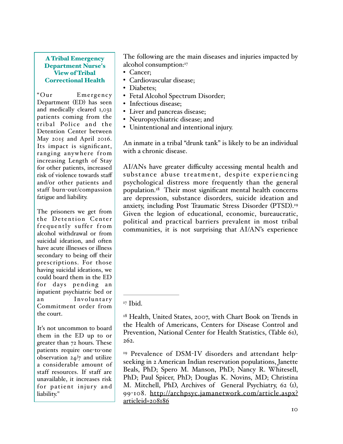#### A Tribal Emergency Department Nurse's View of Tribal Correctional Health

"Our Emergency Department (ED) has seen and medically cleared 1,032 patients coming from the tribal Police and the Detention Center between May 2015 and April 2016. Its impact is significant, ranging anywhere from increasing Length of Stay for other patients, increased risk of violence towards staff and/or other patients and staff burn-out/compassion fatigue and liability.

The prisoners we get from the Detention Center frequently suffer from alcohol withdrawal or from suicidal ideation, and often have acute illnesses or illness secondary to being off their prescriptions. For those having suicidal ideations, we could board them in the ED for days pending an inpatient psychiatric bed or an Involuntary Commitment order from the court.

It's not uncommon to board them in the ED up to or greater than 72 hours. These patients require one-to-one observation 24/7 and utilize a considerable amount of staff resources. If staff are unavailable, it increases risk for patient injury and liability."

The following are the main diseases and injuries impacted by alcohol consumption:<sup>17</sup>

- Cancer;
- Cardiovascular disease;
- Diabetes;
- Fetal Alcohol Spectrum Disorder;
- Infectious disease;
- Liver and pancreas disease;
- Neuropsychiatric disease; and
- Unintentional and intentional injury.

An inmate in a tribal "drunk tank" is likely to be an individual with a chronic disease.

AI/ANs have greater difficulty accessing mental health and substance abuse treatment, despite experiencing psychological distress more frequently than the general population.<sup>18</sup> Their most significant mental health concerns are depression, substance disorders, suicide ideation and anxiety, including Post Traumatic Stress Disorder (PTSD).19 Given the legion of educational, economic, bureaucratic, political and practical barriers prevalent in most tribal communities, it is not surprising that AI/AN's experience

 $17$  Ibid.

 $18$  Health, United States, 2007, with Chart Book on Trends in the Health of Americans, Centers for Disease Control and Prevention, National Center for Health Statistics, (Table 61), 262.

<sup>&</sup>lt;sup>19</sup> Prevalence of DSM-IV disorders and attendant helpseeking in 2 American Indian reservation populations, Janette Beals, PhD; Spero M. Manson, PhD; Nancy R. Whitesell, PhD; Paul Spicer, PhD; Douglas K. Novins, MD; Christina M. Mitchell, PhD, Archives of General Psychiatry, 62 (1), 99-108. http://archpsyc.jamanetwork.com/article.aspx? articleid=208186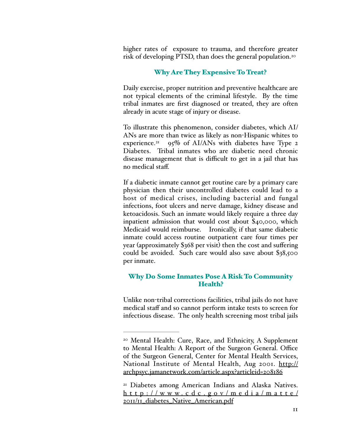higher rates of exposure to trauma, and therefore greater risk of developing PTSD, than does the general population.20

#### Why Are They Expensive To Treat?

Daily exercise, proper nutrition and preventive healthcare are not typical elements of the criminal lifestyle. By the time tribal inmates are first diagnosed or treated, they are often already in acute stage of injury or disease.

To illustrate this phenomenon, consider diabetes, which AI/ ANs are more than twice as likely as non-Hispanic whites to experience.<sup>21</sup> 95% of AI/ANs with diabetes have Type 2 Diabetes. Tribal inmates who are diabetic need chronic disease management that is difficult to get in a jail that has no medical staff.

If a diabetic inmate cannot get routine care by a primary care physician then their uncontrolled diabetes could lead to a host of medical crises, including bacterial and fungal infections, foot ulcers and nerve damage, kidney disease and ketoacidosis. Such an inmate would likely require a three day inpatient admission that would cost about \$40,000, which Medicaid would reimburse. Ironically, if that same diabetic inmate could access routine outpatient care four times per year (approximately \$368 per visit) then the cost and suffering could be avoided. Such care would also save about \$38,500 per inmate.

#### Why Do Some Inmates Pose A Risk To Community Health?

Unlike non-tribal corrections facilities, tribal jails do not have medical staff and so cannot perform intake tests to screen for infectious disease. The only health screening most tribal jails

<sup>&</sup>lt;sup>20</sup> Mental Health: Cure, Race, and Ethnicity, A Supplement to Mental Health: A Report of the Surgeon General. Office of the Surgeon General, Center for Mental Health Services, National Institute of Mental Health, Aug 2001. <u>http://</u> archpsyc.jamanetwork.com/article.aspx?articleid=208186

<sup>&</sup>lt;sup>21</sup> Diabetes among American Indians and Alaska Natives. h t t p : / / w w w. c d c . g o v / m e d i a / m a t te / 2011/11\_diabetes\_Native\_American.pdf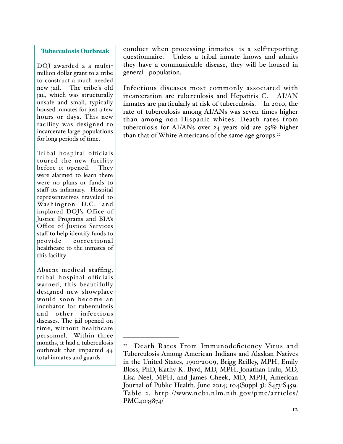#### Tuberculosis Outbreak

DOJ awarded a a multimillion dollar grant to a tribe to construct a much needed new jail. The tribe's old jail, which was structurally unsafe and small, typically housed inmates for just a few hours or days. This new facility was designed to incarcerate large populations for long periods of time.

Tribal hospital officials toured the new facility before it opened. They were alarmed to learn there were no plans or funds to staff its infirmary. Hospital representatives traveled to Washington D.C. and implored DOJ's Office of Justice Programs and BIA's Office of Justice Services staff to help identify funds to provide correctional healthcare to the inmates of this facility.

Absent medical staffing, tribal hospital officials warned, this beautifully designed new showplace would soon become an incubator for tuberculosis and other infectious diseases. The jail opened on time, without healthcare personnel. Within three months, it had a tuberculosis outbreak that impacted 44 total inmates and guards.

conduct when processing inmates is a self-reporting questionnaire. Unless a tribal inmate knows and admits they have a communicable disease, they will be housed in general population.

Infectious diseases most commonly associated with incarceration are tuberculosis and Hepatitis C. AI/AN inmates are particularly at risk of tuberculosis. In 2010, the rate of tuberculosis among AI/ANs was seven times higher than among non-Hispanic whites. Death rates from tuberculosis for AI/ANs over 24 years old are  $95\%$  higher than that of White Americans of the same age groups.<sup>22</sup>

<sup>&</sup>lt;sup>22</sup> Death Rates From Immunodeficiency Virus and Tuberculosis Among American Indians and Alaskan Natives in the United States, 1990-2009, Brigg Reilley, MPH, Emily Bloss, PhD, Kathy K. Byrd, MD, MPH, Jonathan Iralu, MD, Lisa Neel, MPH, and James Cheek, MD, MPH, American Journal of Public Health. June 2014; 104(Suppl 3): S453-S459. Table 2. http://www.ncbi.nlm.nih.gov/pmc/articles/ PMC4035874/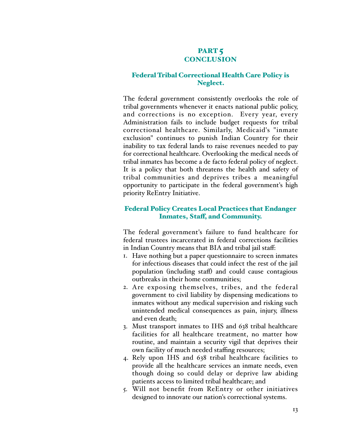# PART<sub>5</sub> **CONCLUSION**

#### Federal Tribal Correctional Health Care Policy is Neglect.

The federal government consistently overlooks the role of tribal governments whenever it enacts national public policy, and corrections is no exception. Every year, every Administration fails to include budget requests for tribal correctional healthcare. Similarly, Medicaid's "inmate exclusion" continues to punish Indian Country for their inability to tax federal lands to raise revenues needed to pay for correctional healthcare. Overlooking the medical needs of tribal inmates has become a de facto federal policy of neglect. It is a policy that both threatens the health and safety of tribal communities and deprives tribes a meaningful opportunity to participate in the federal government's high priority ReEntry Initiative.

# Federal Policy Creates Local Practices that Endanger Inmates, Staf, and Community.

The federal government's failure to fund healthcare for federal trustees incarcerated in federal corrections facilities in Indian Country means that BIA and tribal jail staff:

- 1. Have nothing but a paper questionnaire to screen inmates for infectious diseases that could infect the rest of the jail population (including staff) and could cause contagious outbreaks in their home communities;
- 2. Are exposing themselves, tribes, and the federal government to civil liability by dispensing medications to inmates without any medical supervision and risking such unintended medical consequences as pain, injury, illness and even death;
- 3. Must transport inmates to IHS and 638 tribal healthcare facilities for all healthcare treatment, no matter how routine, and maintain a security vigil that deprives their own facility of much needed staffing resources;
- 4. Rely upon IHS and 638 tribal healthcare facilities to provide all the healthcare services an inmate needs, even though doing so could delay or deprive law abiding patients access to limited tribal healthcare; and
- 5. Will not benefit from ReEntry or other initiatives designed to innovate our nation's correctional systems.